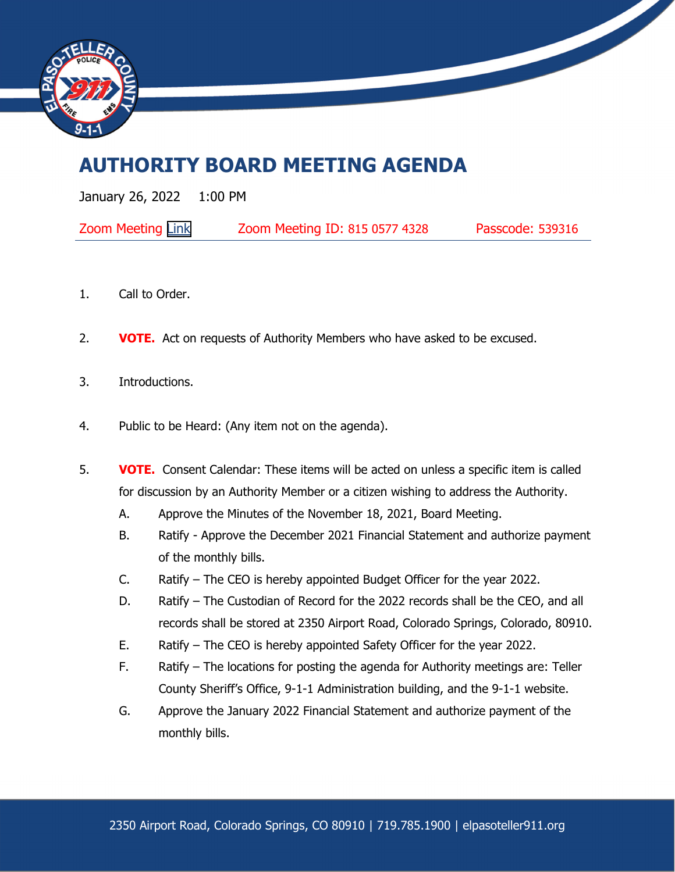

## **AUTHORITY BOARD MEETING AGENDA**

January 26, 2022 1:00 PM

| <b>Zoom Meeting Link</b> | Zoom Meeting ID: 815 0577 4328 | Passcode: 539316 |
|--------------------------|--------------------------------|------------------|
|--------------------------|--------------------------------|------------------|

- 1. Call to Order.
- 2. **VOTE.** Act on requests of Authority Members who have asked to be excused.
- 3. Introductions.
- 4. Public to be Heard: (Any item not on the agenda).
- 5. **VOTE.** Consent Calendar: These items will be acted on unless a specific item is called for discussion by an Authority Member or a citizen wishing to address the Authority.
	- A. Approve the Minutes of the November 18, 2021, Board Meeting.
	- B. Ratify Approve the December 2021 Financial Statement and authorize payment of the monthly bills.
	- C. Ratify The CEO is hereby appointed Budget Officer for the year 2022.
	- D. Ratify The Custodian of Record for the 2022 records shall be the CEO, and all records shall be stored at 2350 Airport Road, Colorado Springs, Colorado, 80910.
	- E. Ratify The CEO is hereby appointed Safety Officer for the year 2022.
	- F. Ratify The locations for posting the agenda for Authority meetings are: Teller County Sheriff's Office, 9-1-1 Administration building, and the 9-1-1 website.
	- G. Approve the January 2022 Financial Statement and authorize payment of the monthly bills.